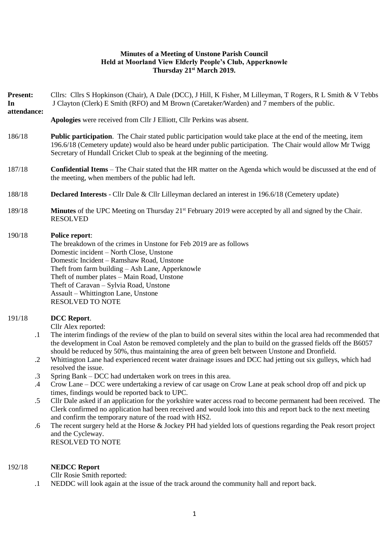### **Minutes of a Meeting of Unstone Parish Council Held at Moorland View Elderly People's Club, Apperknowle Thursday 21st March 2019.**

**Present:** Cllrs: Cllrs S Hopkinson (Chair), A Dale (DCC), J Hill, K Fisher, M Lilleyman, T Rogers, R L Smith & V Tebbs **In**  J Clayton (Clerk) E Smith (RFO) and M Brown (Caretaker/Warden) and 7 members of the public.

# **attendance:**

**Apologies** were received from Cllr J Elliott, Cllr Perkins was absent.

- 186/18 **Public participation**. The Chair stated public participation would take place at the end of the meeting, item 196.6/18 (Cemetery update) would also be heard under public participation. The Chair would allow Mr Twigg Secretary of Hundall Cricket Club to speak at the beginning of the meeting.
- 187/18 **Confidential Items** The Chair stated that the HR matter on the Agenda which would be discussed at the end of the meeting, when members of the public had left.
- 188/18 **Declared Interests** Cllr Dale & Cllr Lilleyman declared an interest in 196.6/18 (Cemetery update)
- 189/18 **Minutes** of the UPC Meeting on Thursday 21<sup>st</sup> February 2019 were accepted by all and signed by the Chair. RESOLVED

## 190/18 **Police report**:

The breakdown of the crimes in Unstone for Feb 2019 are as follows Domestic incident – North Close, Unstone Domestic Incident – Ramshaw Road, Unstone Theft from farm building – Ash Lane, Apperknowle Theft of number plates – Main Road, Unstone Theft of Caravan – Sylvia Road, Unstone Assault – Whittington Lane, Unstone RESOLVED TO NOTE

### 191/18 **DCC Report**.

Cllr Alex reported:

- .1 The interim findings of the review of the plan to build on several sites within the local area had recommended that the development in Coal Aston be removed completely and the plan to build on the grassed fields off the B6057 should be reduced by 50%, thus maintaining the area of green belt between Unstone and Dronfield.
- .2 Whittington Lane had experienced recent water drainage issues and DCC had jetting out six gulleys, which had resolved the issue.
- .3 Spring Bank – DCC had undertaken work on trees in this area.
- .4 Crow Lane – DCC were undertaking a review of car usage on Crow Lane at peak school drop off and pick up times, findings would be reported back to UPC.
- .5 Cllr Dale asked if an application for the yorkshire water access road to become permanent had been received. The Clerk confirmed no application had been received and would look into this and report back to the next meeting and confirm the temporary nature of the road with HS2.
- .6 The recent surgery held at the Horse & Jockey PH had yielded lots of questions regarding the Peak resort project and the Cycleway. RESOLVED TO NOTE

#### 192/18 **NEDCC Report**

Cllr Rosie Smith reported:

.1 NEDDC will look again at the issue of the track around the community hall and report back.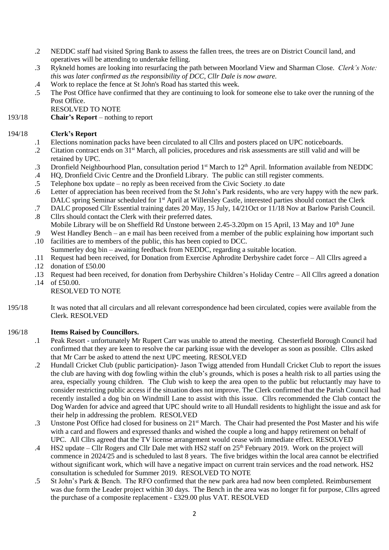- .2 NEDDC staff had visited Spring Bank to assess the fallen trees, the trees are on District Council land, and operatives will be attending to undertake felling.
- .3 Rykneld homes are looking into resurfacing the path between Moorland View and Sharman Close. *Clerk's Note: this was later confirmed as the responsibility of DCC, Cllr Dale is now aware.*
- .4 Work to replace the fence at St John's Road has started this week.
- .5 The Post Office have confirmed that they are continuing to look for someone else to take over the running of the Post Office.
	- RESOLVED TO NOTE
- 193/18 **Chair's Report** nothing to report

#### 194/18 **Clerk's Report**

- .1 Elections nomination packs have been circulated to all Cllrs and posters placed on UPC noticeboards.
- .2 Citation contract ends on 31<sup>st</sup> March, all policies, procedures and risk assessments are still valid and will be retained by UPC.
- .3 Dronfield Neighbourhood Plan, consultation period 1<sup>st</sup> March to 12<sup>th</sup> April. Information available from NEDDC
- .4 HQ, Dronfield Civic Centre and the Dronfield Library. The public can still register comments.
- .5 Telephone box update – no reply as been received from the Civic Society .to date
- .6 Letter of appreciation has been received from the St John's Park residents, who are very happy with the new park. DALC spring Seminar scheduled for 1<sup>st</sup> April at Willersley Castle, interested parties should contact the Clerk
- .7 DALC proposed Cllr Essential training dates 20 May, 15 July, 14/21Oct or 11/18 Nov at Barlow Parish Council.
- .8 Cllrs should contact the Clerk with their preferred dates. Mobile Library will be on Sheffield Rd Unstone between 2.45-3.20pm on 15 April, 13 May and 10<sup>th</sup> June
- .9 West Handley Bench – an e mail has been received from a member of the public explaining how important such
- .10 facilities are to members of the public, this has been copied to DCC.
- Summerley dog bin awaiting feedback from NEDDC, regarding a suitable location.
- .11 .12 Request had been received, for Donation from Exercise Aphrodite Derbyshire cadet force – All Cllrs agreed a donation of £50.00
- .13 .14 Request had been received, for donation from Derbyshire Children's Holiday Centre – All Cllrs agreed a donation of £50.00.

### RESOLVED TO NOTE

195/18 It was noted that all circulars and all relevant correspondence had been circulated, copies were available from the Clerk. RESOLVED

### 196/18 **Items Raised by Councillors.**

- .1 Peak Resort - unfortunately Mr Rupert Carr was unable to attend the meeting. Chesterfield Borough Council had confirmed that they are keen to resolve the car parking issue with the developer as soon as possible. Cllrs asked that Mr Carr be asked to attend the next UPC meeting. RESOLVED
- .2 Hundall Cricket Club (public participation)- Jason Twigg attended from Hundall Cricket Club to report the issues the club are having with dog fowling within the club's grounds, which is poses a health risk to all parties using the area, especially young children. The Club wish to keep the area open to the public but reluctantly may have to consider restricting public access if the situation does not improve. The Clerk confirmed that the Parish Council had recently installed a dog bin on Windmill Lane to assist with this issue. Cllrs recommended the Club contact the Dog Warden for advice and agreed that UPC should write to all Hundall residents to highlight the issue and ask for their help in addressing the problem. RESOLVED
- .3 Unstone Post Office had closed for business on 21st March. The Chair had presented the Post Master and his wife with a card and flowers and expressed thanks and wished the couple a long and happy retirement on behalf of UPC. All Cllrs agreed that the TV license arrangement would cease with immediate effect. RESOLVED
- .4 HS2 update – Cllr Rogers and Cllr Dale met with HS2 staff on 25<sup>th</sup> February 2019. Work on the project will commence in 2024/25 and is scheduled to last 8 years. The five bridges within the local area cannot be electrified without significant work, which will have a negative impact on current train services and the road network. HS2 consultation is scheduled for Summer 2019. RESOLVED TO NOTE
- .5 St John's Park & Bench. The RFO confirmed that the new park area had now been completed. Reimbursement was due form the Leader project within 30 days. The Bench in the area was no longer fit for purpose, Cllrs agreed the purchase of a composite replacement - £329.00 plus VAT. RESOLVED